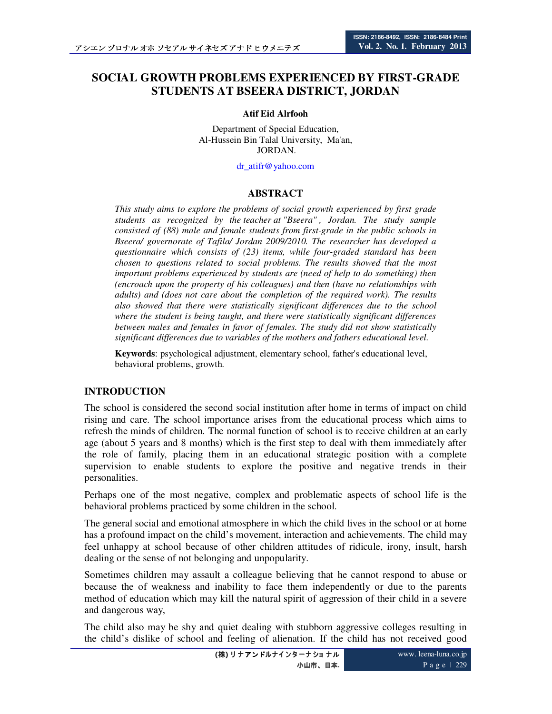# **SOCIAL GROWTH PROBLEMS EXPERIENCED BY FIRST-GRADE STUDENTS AT BSEERA DISTRICT, JORDAN**

#### **Atif Eid Alrfooh**

Department of Special Education, Al-Hussein Bin Talal University, Ma'an, JORDAN.

dr\_atifr@yahoo.com

#### **ABSTRACT**

*This study aims to explore the problems of social growth experienced by first grade students as recognized by the teacher at "Bseera" , Jordan. The study sample consisted of (88) male and female students from first-grade in the public schools in Bseera/ governorate of Tafila/ Jordan 2009/2010. The researcher has developed a questionnaire which consists of (23) items, while four-graded standard has been chosen to questions related to social problems*. *The results showed that the most important problems experienced by students are (need of help to do something) then (encroach upon the property of his colleagues) and then (have no relationships with adults) and (does not care about the completion of the required work). The results also showed that there were statistically significant differences due to the school where the student is being taught, and there were statistically significant differences between males and females in favor of females. The study did not show statistically significant differences due to variables of the mothers and fathers educational level*.

**Keywords**: psychological adjustment, elementary school, father's educational level, behavioral problems, growth.

## **INTRODUCTION**

The school is considered the second social institution after home in terms of impact on child rising and care. The school importance arises from the educational process which aims to refresh the minds of children. The normal function of school is to receive children at an early age (about 5 years and 8 months) which is the first step to deal with them immediately after the role of family, placing them in an educational strategic position with a complete supervision to enable students to explore the positive and negative trends in their personalities.

Perhaps one of the most negative, complex and problematic aspects of school life is the behavioral problems practiced by some children in the school.

The general social and emotional atmosphere in which the child lives in the school or at home has a profound impact on the child's movement, interaction and achievements. The child may feel unhappy at school because of other children attitudes of ridicule, irony, insult, harsh dealing or the sense of not belonging and unpopularity.

Sometimes children may assault a colleague believing that he cannot respond to abuse or because the of weakness and inability to face them independently or due to the parents method of education which may kill the natural spirit of aggression of their child in a severe and dangerous way,

The child also may be shy and quiet dealing with stubborn aggressive colleges resulting in the child's dislike of school and feeling of alienation. If the child has not received good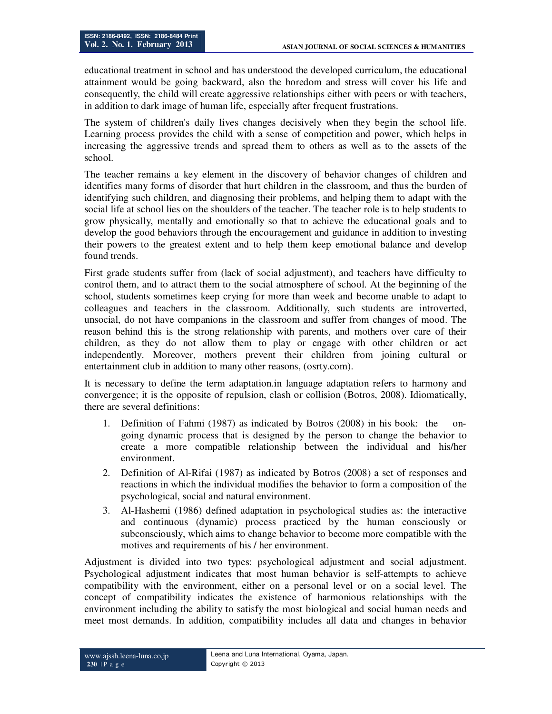educational treatment in school and has understood the developed curriculum, the educational attainment would be going backward, also the boredom and stress will cover his life and consequently, the child will create aggressive relationships either with peers or with teachers, in addition to dark image of human life, especially after frequent frustrations.

The system of children's daily lives changes decisively when they begin the school life. Learning process provides the child with a sense of competition and power, which helps in increasing the aggressive trends and spread them to others as well as to the assets of the school.

The teacher remains a key element in the discovery of behavior changes of children and identifies many forms of disorder that hurt children in the classroom, and thus the burden of identifying such children, and diagnosing their problems, and helping them to adapt with the social life at school lies on the shoulders of the teacher. The teacher role is to help students to grow physically, mentally and emotionally so that to achieve the educational goals and to develop the good behaviors through the encouragement and guidance in addition to investing their powers to the greatest extent and to help them keep emotional balance and develop found trends.

First grade students suffer from (lack of social adjustment), and teachers have difficulty to control them, and to attract them to the social atmosphere of school. At the beginning of the school, students sometimes keep crying for more than week and become unable to adapt to colleagues and teachers in the classroom. Additionally, such students are introverted, unsocial, do not have companions in the classroom and suffer from changes of mood. The reason behind this is the strong relationship with parents, and mothers over care of their children, as they do not allow them to play or engage with other children or act independently. Moreover, mothers prevent their children from joining cultural or entertainment club in addition to many other reasons, (osrty.com).

It is necessary to define the term adaptation.in language adaptation refers to harmony and convergence; it is the opposite of repulsion, clash or collision (Botros, 2008). Idiomatically, there are several definitions:

- 1. Definition of Fahmi (1987) as indicated by Botros (2008) in his book: the ongoing dynamic process that is designed by the person to change the behavior to create a more compatible relationship between the individual and his/her environment.
- 2. Definition of Al-Rifai (1987) as indicated by Botros (2008) a set of responses and reactions in which the individual modifies the behavior to form a composition of the psychological, social and natural environment.
- 3. Al-Hashemi (1986) defined adaptation in psychological studies as: the interactive and continuous (dynamic) process practiced by the human consciously or subconsciously, which aims to change behavior to become more compatible with the motives and requirements of his / her environment.

Adjustment is divided into two types: psychological adjustment and social adjustment. Psychological adjustment indicates that most human behavior is self-attempts to achieve compatibility with the environment, either on a personal level or on a social level. The concept of compatibility indicates the existence of harmonious relationships with the environment including the ability to satisfy the most biological and social human needs and meet most demands. In addition, compatibility includes all data and changes in behavior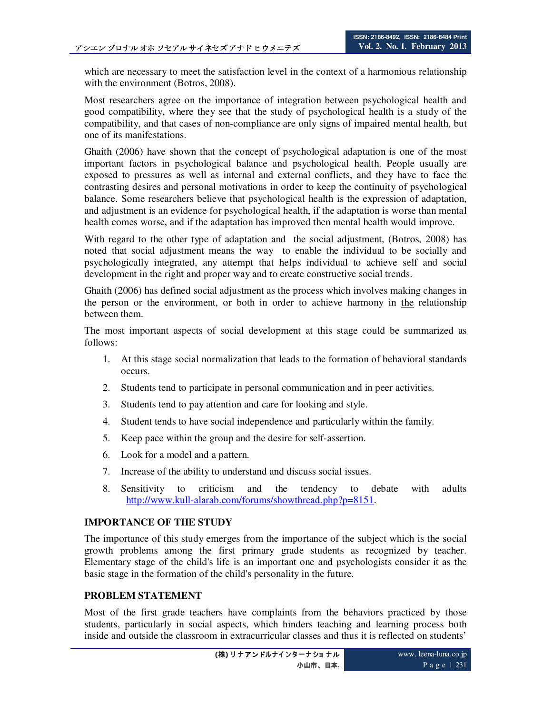which are necessary to meet the satisfaction level in the context of a harmonious relationship with the environment (Botros, 2008).

Most researchers agree on the importance of integration between psychological health and good compatibility, where they see that the study of psychological health is a study of the compatibility, and that cases of non-compliance are only signs of impaired mental health, but one of its manifestations.

Ghaith (2006) have shown that the concept of psychological adaptation is one of the most important factors in psychological balance and psychological health. People usually are exposed to pressures as well as internal and external conflicts, and they have to face the contrasting desires and personal motivations in order to keep the continuity of psychological balance. Some researchers believe that psychological health is the expression of adaptation, and adjustment is an evidence for psychological health, if the adaptation is worse than mental health comes worse, and if the adaptation has improved then mental health would improve.

With regard to the other type of adaptation and the social adjustment, (Botros, 2008) has noted that social adjustment means the way to enable the individual to be socially and psychologically integrated, any attempt that helps individual to achieve self and social development in the right and proper way and to create constructive social trends.

Ghaith (2006) has defined social adjustment as the process which involves making changes in the person or the environment, or both in order to achieve harmony in the relationship between them.

The most important aspects of social development at this stage could be summarized as follows:

- 1. At this stage social normalization that leads to the formation of behavioral standards occurs.
- 2. Students tend to participate in personal communication and in peer activities.
- 3. Students tend to pay attention and care for looking and style.
- 4. Student tends to have social independence and particularly within the family.
- 5. Keep pace within the group and the desire for self-assertion.
- 6. Look for a model and a pattern.
- 7. Increase of the ability to understand and discuss social issues.
- 8. Sensitivity to criticism and the tendency to debate with adults http://www.kull-alarab.com/forums/showthread.php?p=8151.

## **IMPORTANCE OF THE STUDY**

The importance of this study emerges from the importance of the subject which is the social growth problems among the first primary grade students as recognized by teacher. Elementary stage of the child's life is an important one and psychologists consider it as the basic stage in the formation of the child's personality in the future.

## **PROBLEM STATEMENT**

Most of the first grade teachers have complaints from the behaviors practiced by those students, particularly in social aspects, which hinders teaching and learning process both inside and outside the classroom in extracurricular classes and thus it is reflected on students'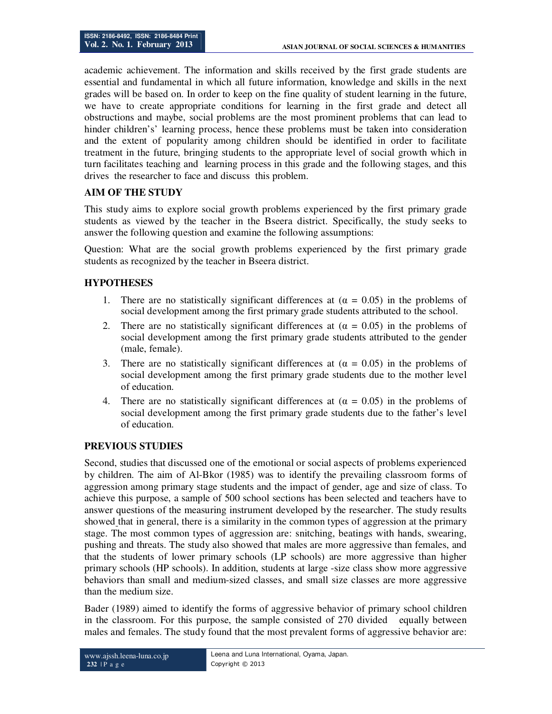academic achievement. The information and skills received by the first grade students are essential and fundamental in which all future information, knowledge and skills in the next grades will be based on. In order to keep on the fine quality of student learning in the future, we have to create appropriate conditions for learning in the first grade and detect all obstructions and maybe, social problems are the most prominent problems that can lead to hinder children's' learning process, hence these problems must be taken into consideration and the extent of popularity among children should be identified in order to facilitate treatment in the future, bringing students to the appropriate level of social growth which in turn facilitates teaching and learning process in this grade and the following stages, and this drives the researcher to face and discuss this problem.

## **AIM OF THE STUDY**

This study aims to explore social growth problems experienced by the first primary grade students as viewed by the teacher in the Bseera district. Specifically, the study seeks to answer the following question and examine the following assumptions:

Question: What are the social growth problems experienced by the first primary grade students as recognized by the teacher in Bseera district.

## **HYPOTHESES**

- 1. There are no statistically significant differences at  $(\alpha = 0.05)$  in the problems of social development among the first primary grade students attributed to the school.
- 2. There are no statistically significant differences at  $(\alpha = 0.05)$  in the problems of social development among the first primary grade students attributed to the gender (male, female).
- 3. There are no statistically significant differences at  $(\alpha = 0.05)$  in the problems of social development among the first primary grade students due to the mother level of education.
- 4. There are no statistically significant differences at  $(\alpha = 0.05)$  in the problems of social development among the first primary grade students due to the father's level of education.

## **PREVIOUS STUDIES**

Second, studies that discussed one of the emotional or social aspects of problems experienced by children. The aim of Al-Bkor (1985) was to identify the prevailing classroom forms of aggression among primary stage students and the impact of gender, age and size of class. To achieve this purpose, a sample of 500 school sections has been selected and teachers have to answer questions of the measuring instrument developed by the researcher. The study results showed that in general, there is a similarity in the common types of aggression at the primary stage. The most common types of aggression are: snitching, beatings with hands, swearing, pushing and threats. The study also showed that males are more aggressive than females, and that the students of lower primary schools (LP schools) are more aggressive than higher primary schools (HP schools). In addition, students at large -size class show more aggressive behaviors than small and medium-sized classes, and small size classes are more aggressive than the medium size.

Bader (1989) aimed to identify the forms of aggressive behavior of primary school children in the classroom. For this purpose, the sample consisted of 270 divided equally between males and females. The study found that the most prevalent forms of aggressive behavior are: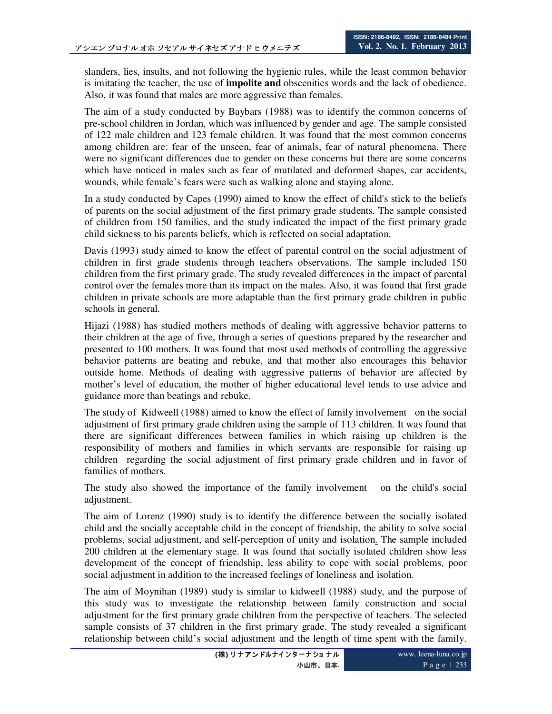slanders, lies, insults, and not following the hygienic rules, while the least common behavior is imitating the teacher, the use of **impolite and** obscenities words and the lack of obedience. Also, it was found that males are more aggressive than females.

The aim of a study conducted by Baybars (1988) was to identify the common concerns of pre-school children in Jordan, which was influenced by gender and age. The sample consisted of 122 male children and 123 female children. It was found that the most common concerns among children are: fear of the unseen, fear of animals, fear of natural phenomena. There were no significant differences due to gender on these concerns but there are some concerns which have noticed in males such as fear of mutilated and deformed shapes, car accidents, wounds, while female's fears were such as walking alone and staying alone.

In a study conducted by Capes (1990) aimed to know the effect of child's stick to the beliefs of parents on the social adjustment of the first primary grade students. The sample consisted of children from 150 families, and the study indicated the impact of the first primary grade child sickness to his parents beliefs, which is reflected on social adaptation.

Davis (1993) study aimed to know the effect of parental control on the social adjustment of children in first grade students through teachers observations. The sample included 150 children from the first primary grade. The study revealed differences in the impact of parental control over the females more than its impact on the males. Also, it was found that first grade children in private schools are more adaptable than the first primary grade children in public schools in general.

Hijazi (1988) has studied mothers methods of dealing with aggressive behavior patterns to their children at the age of five, through a series of questions prepared by the researcher and presented to 100 mothers. It was found that most used methods of controlling the aggressive behavior patterns are beating and rebuke, and that mother also encourages this behavior outside home. Methods of dealing with aggressive patterns of behavior are affected by mother's level of education, the mother of higher educational level tends to use advice and guidance more than beatings and rebuke.

The study of Kidweell (1988) aimed to know the effect of family involvement on the social adjustment of first primary grade children using the sample of 113 children. It was found that there are significant differences between families in which raising up children is the responsibility of mothers and families in which servants are responsible for raising up children regarding the social adjustment of first primary grade children and in favor of families of mothers.

The study also showed the importance of the family involvement on the child's social adjustment.

The aim of Lorenz (1990) study is to identify the difference between the socially isolated child and the socially acceptable child in the concept of friendship, the ability to solve social problems, social adjustment, and self-perception of unity and isolation. The sample included 200 children at the elementary stage. It was found that socially isolated children show less development of the concept of friendship, less ability to cope with social problems, poor social adjustment in addition to the increased feelings of loneliness and isolation.

The aim of Moynihan (1989) study is similar to kidweell (1988) study, and the purpose of this study was to investigate the relationship between family construction and social adjustment for the first primary grade children from the perspective of teachers. The selected sample consists of 37 children in the first primary grade. The study revealed a significant relationship between child's social adjustment and the length of time spent with the family.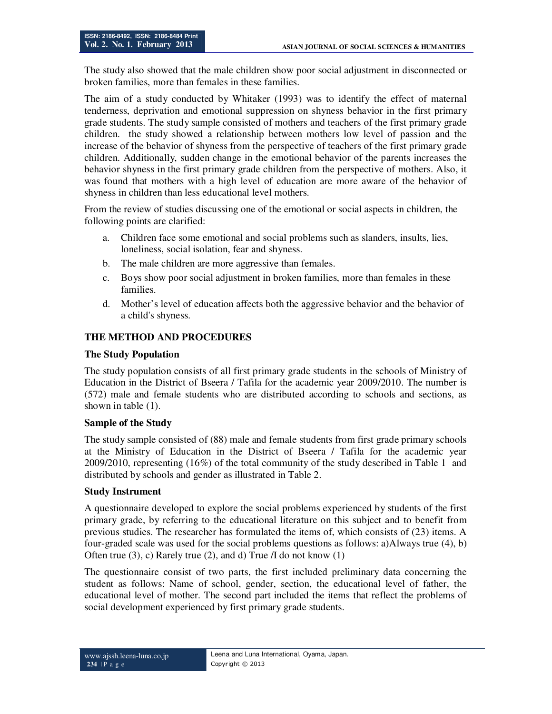The study also showed that the male children show poor social adjustment in disconnected or broken families, more than females in these families.

The aim of a study conducted by Whitaker (1993) was to identify the effect of maternal tenderness, deprivation and emotional suppression on shyness behavior in the first primary grade students. The study sample consisted of mothers and teachers of the first primary grade children. the study showed a relationship between mothers low level of passion and the increase of the behavior of shyness from the perspective of teachers of the first primary grade children. Additionally, sudden change in the emotional behavior of the parents increases the behavior shyness in the first primary grade children from the perspective of mothers. Also, it was found that mothers with a high level of education are more aware of the behavior of shyness in children than less educational level mothers.

From the review of studies discussing one of the emotional or social aspects in children, the following points are clarified:

- a. Children face some emotional and social problems such as slanders, insults, lies, loneliness, social isolation, fear and shyness.
- b. The male children are more aggressive than females.
- c. Boys show poor social adjustment in broken families, more than females in these families.
- d. Mother's level of education affects both the aggressive behavior and the behavior of a child's shyness.

## **THE METHOD AND PROCEDURES**

#### **The Study Population**

The study population consists of all first primary grade students in the schools of Ministry of Education in the District of Bseera / Tafila for the academic year 2009/2010. The number is (572) male and female students who are distributed according to schools and sections, as shown in table (1).

#### **Sample of the Study**

The study sample consisted of (88) male and female students from first grade primary schools at the Ministry of Education in the District of Bseera / Tafila for the academic year 2009/2010, representing (16%) of the total community of the study described in Table 1 and distributed by schools and gender as illustrated in Table 2.

#### **Study Instrument**

A questionnaire developed to explore the social problems experienced by students of the first primary grade, by referring to the educational literature on this subject and to benefit from previous studies. The researcher has formulated the items of, which consists of (23) items. A four-graded scale was used for the social problems questions as follows: a)Always true (4), b) Often true (3), c) Rarely true (2), and d) True /I do not know (1)

The questionnaire consist of two parts, the first included preliminary data concerning the student as follows: Name of school, gender, section, the educational level of father, the educational level of mother. The second part included the items that reflect the problems of social development experienced by first primary grade students.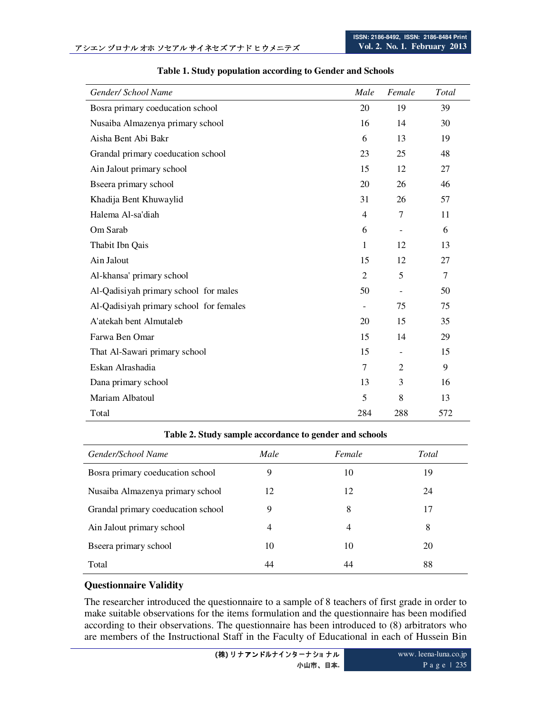| Gender/ School Name                     | Male                     | Female                   | Total          |
|-----------------------------------------|--------------------------|--------------------------|----------------|
| Bosra primary coeducation school        | 20                       | 19                       | 39             |
| Nusaiba Almazenya primary school        | 16                       | 14                       | 30             |
| Aisha Bent Abi Bakr                     | 6                        | 13                       | 19             |
| Grandal primary coeducation school      | 23                       | 25                       | 48             |
| Ain Jalout primary school               | 15                       | 12                       | 27             |
| Bseera primary school                   | 20                       | 26                       | 46             |
| Khadija Bent Khuwaylid                  | 31                       | 26                       | 57             |
| Halema Al-sa'diah                       | $\overline{4}$           | 7                        | 11             |
| Om Sarab                                | 6                        | $\overline{\phantom{a}}$ | 6              |
| Thabit Ibn Qais                         | $\mathbf{1}$             | 12                       | 13             |
| Ain Jalout                              | 15                       | 12                       | 27             |
| Al-khansa' primary school               | $\overline{2}$           | 5                        | $\overline{7}$ |
| Al-Qadisiyah primary school for males   | 50                       | $\overline{\phantom{a}}$ | 50             |
| Al-Qadisiyah primary school for females | $\overline{\phantom{a}}$ | 75                       | 75             |
| A'atekah bent Almutaleb                 | 20                       | 15                       | 35             |
| Farwa Ben Omar                          | 15                       | 14                       | 29             |
| That Al-Sawari primary school           | 15                       | $\overline{\phantom{a}}$ | 15             |
| Eskan Alrashadia                        | $\tau$                   | $\overline{c}$           | 9              |
| Dana primary school                     | 13                       | 3                        | 16             |
| Mariam Albatoul                         | 5                        | 8                        | 13             |
| Total                                   | 284                      | 288                      | 572            |

#### **Table 1. Study population according to Gender and Schools**

**Table 2. Study sample accordance to gender and schools** 

| Gender/School Name                 | Male | Female | Total |
|------------------------------------|------|--------|-------|
| Bosra primary coeducation school   | 9    | 10     | 19    |
| Nusaiba Almazenya primary school   | 12   | 12     | 24    |
| Grandal primary coeducation school | 9    | 8      | 17    |
| Ain Jalout primary school          | 4    | 4      | 8     |
| Bseera primary school              | 10   | 10     | 20    |
| Total                              | 44   | 44     | 88    |

## **Questionnaire Validity**

The researcher introduced the questionnaire to a sample of 8 teachers of first grade in order to make suitable observations for the items formulation and the questionnaire has been modified according to their observations. The questionnaire has been introduced to (8) arbitrators who are members of the Instructional Staff in the Faculty of Educational in each of Hussein Bin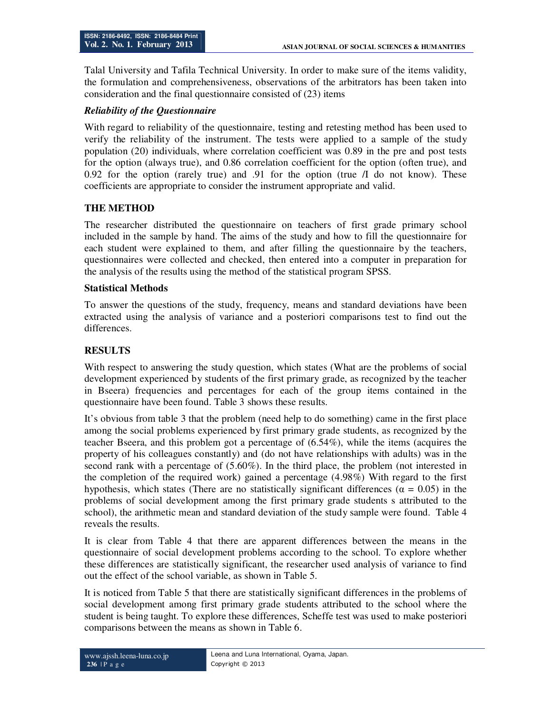Talal University and Tafila Technical University. In order to make sure of the items validity, the formulation and comprehensiveness, observations of the arbitrators has been taken into consideration and the final questionnaire consisted of (23) items

## *Reliability of the Questionnaire*

With regard to reliability of the questionnaire, testing and retesting method has been used to verify the reliability of the instrument. The tests were applied to a sample of the study population (20) individuals, where correlation coefficient was 0.89 in the pre and post tests for the option (always true), and 0.86 correlation coefficient for the option (often true), and 0.92 for the option (rarely true) and .91 for the option (true  $\Lambda$  do not know). These coefficients are appropriate to consider the instrument appropriate and valid.

## **THE METHOD**

The researcher distributed the questionnaire on teachers of first grade primary school included in the sample by hand. The aims of the study and how to fill the questionnaire for each student were explained to them, and after filling the questionnaire by the teachers, questionnaires were collected and checked, then entered into a computer in preparation for the analysis of the results using the method of the statistical program SPSS.

## **Statistical Methods**

To answer the questions of the study, frequency, means and standard deviations have been extracted using the analysis of variance and a posteriori comparisons test to find out the differences.

## **RESULTS**

With respect to answering the study question, which states (What are the problems of social development experienced by students of the first primary grade, as recognized by the teacher in Bseera) frequencies and percentages for each of the group items contained in the questionnaire have been found. Table 3 shows these results.

It's obvious from table 3 that the problem (need help to do something) came in the first place among the social problems experienced by first primary grade students, as recognized by the teacher Bseera, and this problem got a percentage of (6.54%), while the items (acquires the property of his colleagues constantly) and (do not have relationships with adults) was in the second rank with a percentage of (5.60%). In the third place, the problem (not interested in the completion of the required work) gained a percentage (4.98%) With regard to the first hypothesis, which states (There are no statistically significant differences ( $\alpha = 0.05$ ) in the problems of social development among the first primary grade students s attributed to the school), the arithmetic mean and standard deviation of the study sample were found. Table 4 reveals the results.

It is clear from Table 4 that there are apparent differences between the means in the questionnaire of social development problems according to the school. To explore whether these differences are statistically significant, the researcher used analysis of variance to find out the effect of the school variable, as shown in Table 5.

It is noticed from Table 5 that there are statistically significant differences in the problems of social development among first primary grade students attributed to the school where the student is being taught. To explore these differences, Scheffe test was used to make posteriori comparisons between the means as shown in Table 6.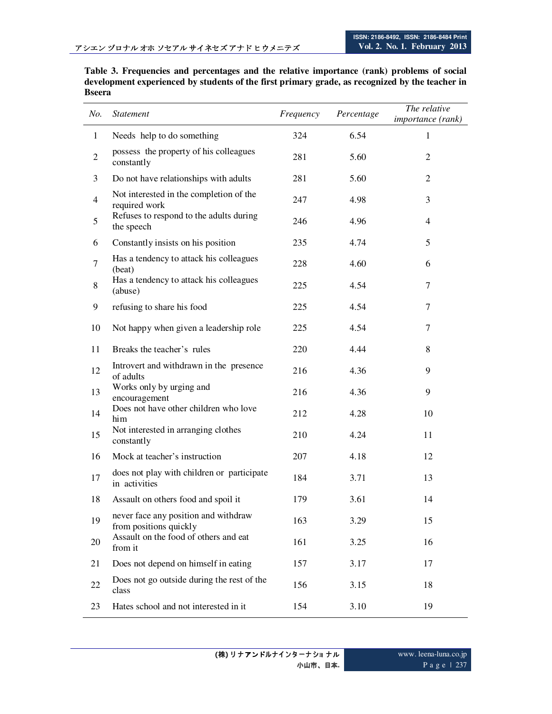| Table 3. Frequencies and percentages and the relative importance (rank) problems of social      |
|-------------------------------------------------------------------------------------------------|
| development experienced by students of the first primary grade, as recognized by the teacher in |
| Bseera                                                                                          |

| No.          | <i>Statement</i>                                               | Frequency | Percentage | The relative<br><i>importance</i> (rank) |
|--------------|----------------------------------------------------------------|-----------|------------|------------------------------------------|
| $\mathbf{1}$ | Needs help to do something                                     | 324       | 6.54       | $\mathbf{1}$                             |
| $\mathbf{2}$ | possess the property of his colleagues<br>constantly           | 281       | 5.60       | $\mathfrak{2}$                           |
| 3            | Do not have relationships with adults                          | 281       | 5.60       | $\overline{2}$                           |
| 4            | Not interested in the completion of the<br>required work       | 247       | 4.98       | 3                                        |
| 5            | Refuses to respond to the adults during<br>the speech          | 246       | 4.96       | 4                                        |
| 6            | Constantly insists on his position                             | 235       | 4.74       | 5                                        |
| $\tau$       | Has a tendency to attack his colleagues<br>(beat)              | 228       | 4.60       | 6                                        |
| 8            | Has a tendency to attack his colleagues<br>(abuse)             | 225       | 4.54       | 7                                        |
| 9            | refusing to share his food                                     | 225       | 4.54       | 7                                        |
| 10           | Not happy when given a leadership role                         | 225       | 4.54       | 7                                        |
| 11           | Breaks the teacher's rules                                     | 220       | 4.44       | 8                                        |
| 12           | Introvert and withdrawn in the presence<br>of adults           | 216       | 4.36       | 9                                        |
| 13           | Works only by urging and<br>encouragement                      | 216       | 4.36       | 9                                        |
| 14           | Does not have other children who love<br>him                   | 212       | 4.28       | 10                                       |
| 15           | Not interested in arranging clothes<br>constantly              | 210       | 4.24       | 11                                       |
| 16           | Mock at teacher's instruction                                  | 207       | 4.18       | 12                                       |
| 17           | does not play with children or participate<br>in activities    | 184       | 3.71       | 13                                       |
| 18           | Assault on others food and spoil it                            | 179       | 3.61       | 14                                       |
| 19           | never face any position and withdraw<br>from positions quickly | 163       | 3.29       | 15                                       |
| 20           | Assault on the food of others and eat<br>from it               | 161       | 3.25       | 16                                       |
| 21           | Does not depend on himself in eating                           | 157       | 3.17       | 17                                       |
| 22           | Does not go outside during the rest of the<br>class            | 156       | 3.15       | 18                                       |
| 23           | Hates school and not interested in it                          | 154       | 3.10       | 19                                       |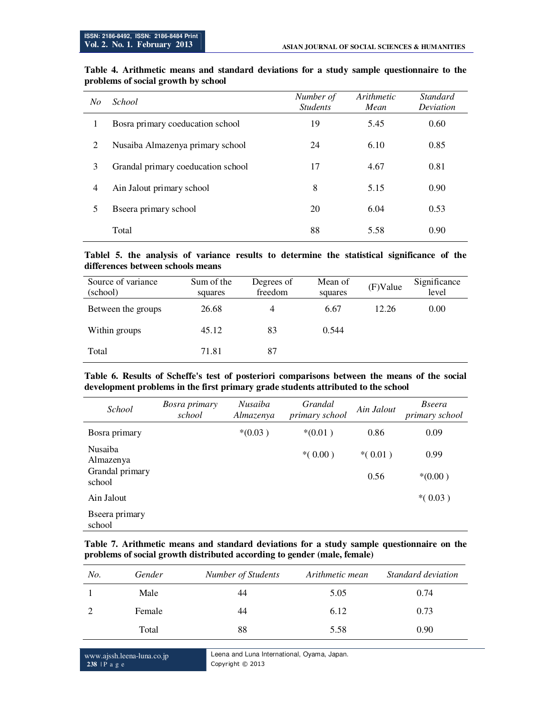| No             | <i>School</i>                      | Number of<br><b>Students</b> | Arithmetic<br>Mean | <b>Standard</b><br>Deviation |
|----------------|------------------------------------|------------------------------|--------------------|------------------------------|
| 1              | Bosra primary coeducation school   | 19                           | 5.45               | 0.60                         |
| 2              | Nusaiba Almazenya primary school   | 24                           | 6.10               | 0.85                         |
| 3              | Grandal primary coeducation school | 17                           | 4.67               | 0.81                         |
| $\overline{4}$ | Ain Jalout primary school          | 8                            | 5.15               | 0.90                         |
| 5              | B seera primary school             | 20                           | 6.04               | 0.53                         |
|                | Total                              | 88                           | 5.58               | 0.90                         |

### **Table 4. Arithmetic means and standard deviations for a study sample questionnaire to the problems of social growth by school**

#### **Tablel 5. the analysis of variance results to determine the statistical significance of the differences between schools means**

| Source of variance<br>(school) | Sum of the<br>squares | Degrees of<br>freedom | Mean of<br>squares | (F)Value | Significance<br>level |
|--------------------------------|-----------------------|-----------------------|--------------------|----------|-----------------------|
| Between the groups             | 26.68                 | 4                     | 6.67               | 12.26    | 0.00                  |
| Within groups                  | 45.12                 | 83                    | 0.544              |          |                       |
| Total                          | 71.81                 | 87                    |                    |          |                       |

#### **Table 6. Results of Scheffe's test of posteriori comparisons between the means of the social development problems in the first primary grade students attributed to the school**

| <i>School</i>                                            | <b>Bosra primary</b><br>school | Nusaiba<br>Almazenya | Grandal<br>primary school | Ain Jalout        | <i>Bseera</i><br>primary school |
|----------------------------------------------------------|--------------------------------|----------------------|---------------------------|-------------------|---------------------------------|
| Bosra primary                                            |                                | $*(0.03)$            | $*(0.01)$                 | 0.86              | 0.09                            |
| <b>Nusaiba</b><br>Almazenya<br>Grandal primary<br>school |                                |                      | $*(0.00)$                 | $*(0.01)$<br>0.56 | 0.99<br>$*(0.00)$               |
| Ain Jalout                                               |                                |                      |                           |                   | $*(0.03)$                       |
| B seera primary<br>school                                |                                |                      |                           |                   |                                 |

#### **Table 7. Arithmetic means and standard deviations for a study sample questionnaire on the problems of social growth distributed according to gender (male, female)**

| No. | Gender | Number of Students | Arithmetic mean | Standard deviation |
|-----|--------|--------------------|-----------------|--------------------|
|     | Male   | 44                 | 5.05            | 0.74               |
|     | Female | 44                 | 6.12            | 0.73               |
|     | Total  | 88                 | 5.58            | 0.90               |

www.ajssh.leena-luna.co.jp **238** | P a g e

Leena and Luna International, Oyama, Japan. Copyright © 2013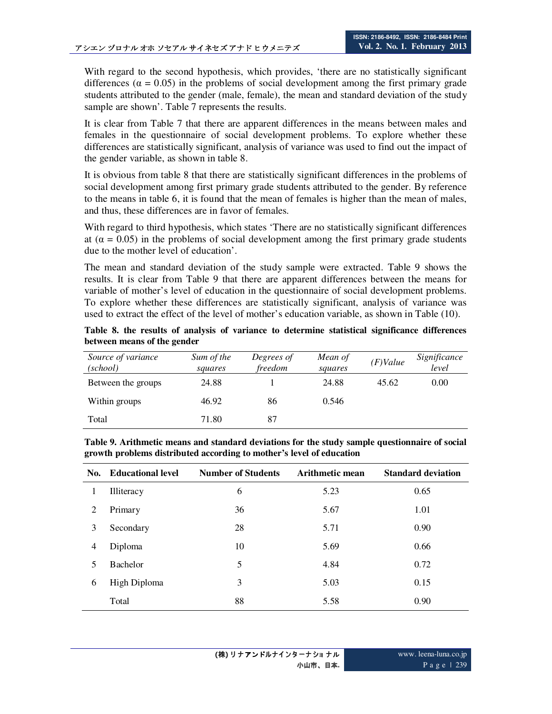With regard to the second hypothesis, which provides, 'there are no statistically significant differences ( $\alpha = 0.05$ ) in the problems of social development among the first primary grade students attributed to the gender (male, female), the mean and standard deviation of the study sample are shown'. Table 7 represents the results.

It is clear from Table 7 that there are apparent differences in the means between males and females in the questionnaire of social development problems. To explore whether these differences are statistically significant, analysis of variance was used to find out the impact of the gender variable, as shown in table 8.

It is obvious from table 8 that there are statistically significant differences in the problems of social development among first primary grade students attributed to the gender. By reference to the means in table 6, it is found that the mean of females is higher than the mean of males, and thus, these differences are in favor of females.

With regard to third hypothesis, which states 'There are no statistically significant differences at  $(\alpha = 0.05)$  in the problems of social development among the first primary grade students due to the mother level of education'.

The mean and standard deviation of the study sample were extracted. Table 9 shows the results. It is clear from Table 9 that there are apparent differences between the means for variable of mother's level of education in the questionnaire of social development problems. To explore whether these differences are statistically significant, analysis of variance was used to extract the effect of the level of mother's education variable, as shown in Table (10).

**Table 8. the results of analysis of variance to determine statistical significance differences between means of the gender** 

| Source of variance<br>(school) | Sum of the<br>squares | Degrees of<br>freedom | Mean of<br>squares | $(F)$ Value | Significance<br>level |
|--------------------------------|-----------------------|-----------------------|--------------------|-------------|-----------------------|
| Between the groups             | 24.88                 |                       | 24.88              | 45.62       | 0.00                  |
| Within groups                  | 46.92                 | 86                    | 0.546              |             |                       |
| Total                          | 71.80                 | 87                    |                    |             |                       |

**Table 9. Arithmetic means and standard deviations for the study sample questionnaire of social growth problems distributed according to mother's level of education** 

|                | No. Educational level | <b>Number of Students</b> | Arithmetic mean | <b>Standard deviation</b> |
|----------------|-----------------------|---------------------------|-----------------|---------------------------|
| 1              | Illiteracy            | 6                         | 5.23            | 0.65                      |
| 2              | Primary               | 36                        | 5.67            | 1.01                      |
| 3              | Secondary             | 28                        | 5.71            | 0.90                      |
| $\overline{4}$ | Diploma               | 10                        | 5.69            | 0.66                      |
| 5              | <b>Bachelor</b>       | 5                         | 4.84            | 0.72                      |
| 6              | High Diploma          | 3                         | 5.03            | 0.15                      |
|                | Total                 | 88                        | 5.58            | 0.90                      |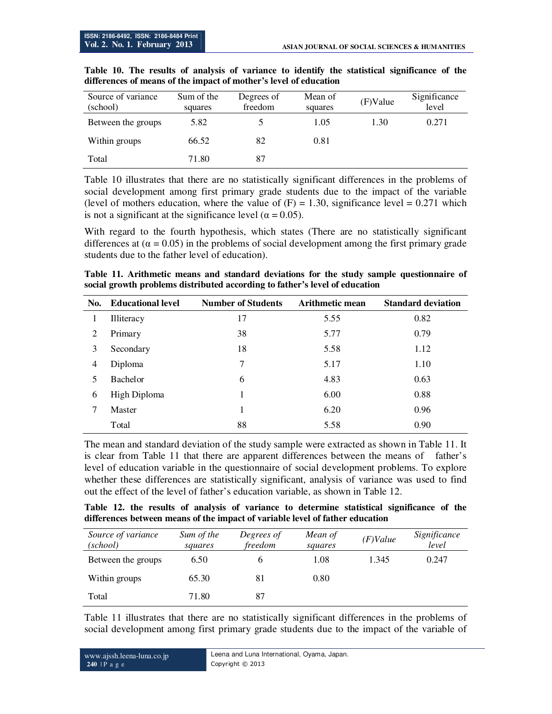| Source of variance<br>(school) | Sum of the<br>squares | Degrees of<br>freedom | Mean of<br>squares | (F)Value | Significance<br>level |
|--------------------------------|-----------------------|-----------------------|--------------------|----------|-----------------------|
| Between the groups             | 5.82                  |                       | 1.05               | 1.30     | 0.271                 |
| Within groups                  | 66.52                 | 82                    | 0.81               |          |                       |
| Total                          | 71.80                 | 87                    |                    |          |                       |

**Table 10. The results of analysis of variance to identify the statistical significance of the differences of means of the impact of mother's level of education** 

Table 10 illustrates that there are no statistically significant differences in the problems of social development among first primary grade students due to the impact of the variable (level of mothers education, where the value of  $(F) = 1.30$ , significance level = 0.271 which is not a significant at the significance level ( $\alpha = 0.05$ ).

With regard to the fourth hypothesis, which states (There are no statistically significant differences at  $(\alpha = 0.05)$  in the problems of social development among the first primary grade students due to the father level of education).

**Table 11. Arithmetic means and standard deviations for the study sample questionnaire of social growth problems distributed according to father's level of education** 

| No.            | <b>Educational level</b> | <b>Number of Students</b> | <b>Arithmetic mean</b> | <b>Standard deviation</b> |
|----------------|--------------------------|---------------------------|------------------------|---------------------------|
|                | <b>Illiteracy</b>        | 17                        | 5.55                   | 0.82                      |
| 2              | Primary                  | 38                        | 5.77                   | 0.79                      |
| 3              | Secondary                | 18                        | 5.58                   | 1.12                      |
| $\overline{4}$ | Diploma                  | 7                         | 5.17                   | 1.10                      |
| 5              | <b>Bachelor</b>          | 6                         | 4.83                   | 0.63                      |
| 6              | High Diploma             |                           | 6.00                   | 0.88                      |
| 7              | Master                   | 1                         | 6.20                   | 0.96                      |
|                | Total                    | 88                        | 5.58                   | 0.90                      |

The mean and standard deviation of the study sample were extracted as shown in Table 11. It is clear from Table 11 that there are apparent differences between the means of father's level of education variable in the questionnaire of social development problems. To explore whether these differences are statistically significant, analysis of variance was used to find out the effect of the level of father's education variable, as shown in Table 12.

**Table 12. the results of analysis of variance to determine statistical significance of the differences between means of the impact of variable level of father education** 

| Source of variance<br>(school) | Sum of the<br>squares | Degrees of<br>freedom | Mean of<br>squares | $(F)$ Value | Significance<br>level |
|--------------------------------|-----------------------|-----------------------|--------------------|-------------|-----------------------|
| Between the groups             | 6.50                  | o                     | 1.08               | 1.345       | 0.247                 |
| Within groups                  | 65.30                 | 81                    | 0.80               |             |                       |
| Total                          | 71.80                 | 87                    |                    |             |                       |

Table 11 illustrates that there are no statistically significant differences in the problems of social development among first primary grade students due to the impact of the variable of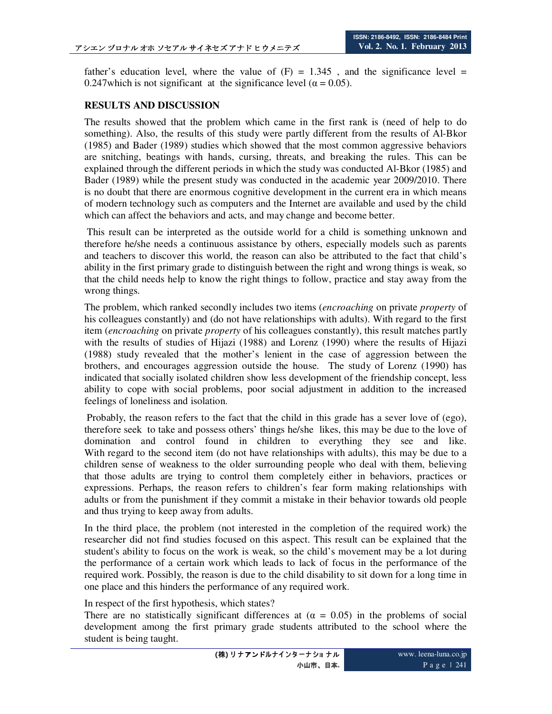father's education level, where the value of  $(F) = 1.345$ , and the significance level = 0.247which is not significant at the significance level ( $\alpha$  = 0.05).

## **RESULTS AND DISCUSSION**

The results showed that the problem which came in the first rank is (need of help to do something). Also, the results of this study were partly different from the results of Al-Bkor (1985) and Bader (1989) studies which showed that the most common aggressive behaviors are snitching, beatings with hands, cursing, threats, and breaking the rules. This can be explained through the different periods in which the study was conducted Al-Bkor (1985) and Bader (1989) while the present study was conducted in the academic year 2009/2010. There is no doubt that there are enormous cognitive development in the current era in which means of modern technology such as computers and the Internet are available and used by the child which can affect the behaviors and acts, and may change and become better.

 This result can be interpreted as the outside world for a child is something unknown and therefore he/she needs a continuous assistance by others, especially models such as parents and teachers to discover this world, the reason can also be attributed to the fact that child's ability in the first primary grade to distinguish between the right and wrong things is weak, so that the child needs help to know the right things to follow, practice and stay away from the wrong things.

The problem, which ranked secondly includes two items (*encroaching* on private *property* of his colleagues constantly) and (do not have relationships with adults). With regard to the first item (*encroaching* on private *property* of his colleagues constantly), this result matches partly with the results of studies of Hijazi (1988) and Lorenz (1990) where the results of Hijazi (1988) study revealed that the mother's lenient in the case of aggression between the brothers, and encourages aggression outside the house. The study of Lorenz (1990) has indicated that socially isolated children show less development of the friendship concept, less ability to cope with social problems, poor social adjustment in addition to the increased feelings of loneliness and isolation.

 Probably, the reason refers to the fact that the child in this grade has a sever love of (ego), therefore seek to take and possess others' things he/she likes, this may be due to the love of domination and control found in children to everything they see and like. With regard to the second item (do not have relationships with adults), this may be due to a children sense of weakness to the older surrounding people who deal with them, believing that those adults are trying to control them completely either in behaviors, practices or expressions. Perhaps, the reason refers to children's fear form making relationships with adults or from the punishment if they commit a mistake in their behavior towards old people and thus trying to keep away from adults.

In the third place, the problem (not interested in the completion of the required work) the researcher did not find studies focused on this aspect. This result can be explained that the student's ability to focus on the work is weak, so the child's movement may be a lot during the performance of a certain work which leads to lack of focus in the performance of the required work. Possibly, the reason is due to the child disability to sit down for a long time in one place and this hinders the performance of any required work.

In respect of the first hypothesis, which states?

There are no statistically significant differences at  $(\alpha = 0.05)$  in the problems of social development among the first primary grade students attributed to the school where the student is being taught.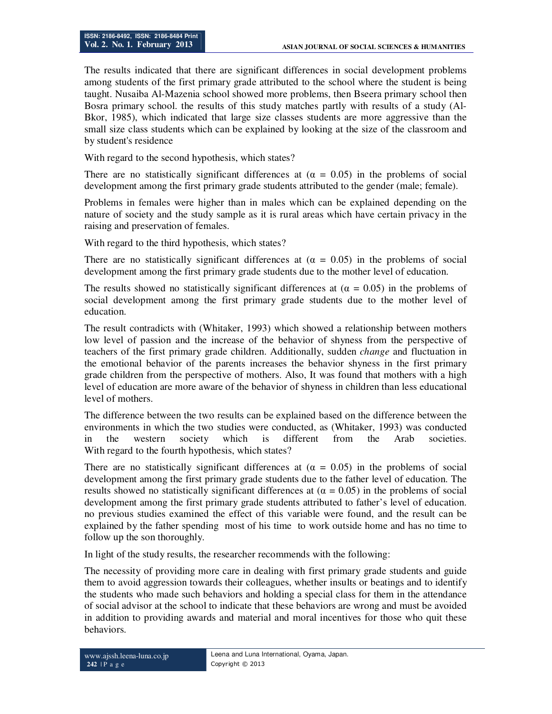The results indicated that there are significant differences in social development problems among students of the first primary grade attributed to the school where the student is being taught. Nusaiba Al-Mazenia school showed more problems, then Bseera primary school then Bosra primary school. the results of this study matches partly with results of a study (Al-Bkor, 1985), which indicated that large size classes students are more aggressive than the small size class students which can be explained by looking at the size of the classroom and by student's residence

With regard to the second hypothesis, which states?

There are no statistically significant differences at  $(\alpha = 0.05)$  in the problems of social development among the first primary grade students attributed to the gender (male; female).

Problems in females were higher than in males which can be explained depending on the nature of society and the study sample as it is rural areas which have certain privacy in the raising and preservation of females.

With regard to the third hypothesis, which states?

There are no statistically significant differences at  $(\alpha = 0.05)$  in the problems of social development among the first primary grade students due to the mother level of education.

The results showed no statistically significant differences at ( $\alpha = 0.05$ ) in the problems of social development among the first primary grade students due to the mother level of education.

The result contradicts with (Whitaker, 1993) which showed a relationship between mothers low level of passion and the increase of the behavior of shyness from the perspective of teachers of the first primary grade children. Additionally, sudden *change* and fluctuation in the emotional behavior of the parents increases the behavior shyness in the first primary grade children from the perspective of mothers. Also, It was found that mothers with a high level of education are more aware of the behavior of shyness in children than less educational level of mothers.

The difference between the two results can be explained based on the difference between the environments in which the two studies were conducted, as (Whitaker, 1993) was conducted in the western society which is different from the Arab societies. With regard to the fourth hypothesis, which states?

There are no statistically significant differences at  $(\alpha = 0.05)$  in the problems of social development among the first primary grade students due to the father level of education. The results showed no statistically significant differences at  $(\alpha = 0.05)$  in the problems of social development among the first primary grade students attributed to father's level of education. no previous studies examined the effect of this variable were found, and the result can be explained by the father spending most of his time to work outside home and has no time to follow up the son thoroughly.

In light of the study results, the researcher recommends with the following:

The necessity of providing more care in dealing with first primary grade students and guide them to avoid aggression towards their colleagues, whether insults or beatings and to identify the students who made such behaviors and holding a special class for them in the attendance of social advisor at the school to indicate that these behaviors are wrong and must be avoided in addition to providing awards and material and moral incentives for those who quit these behaviors.